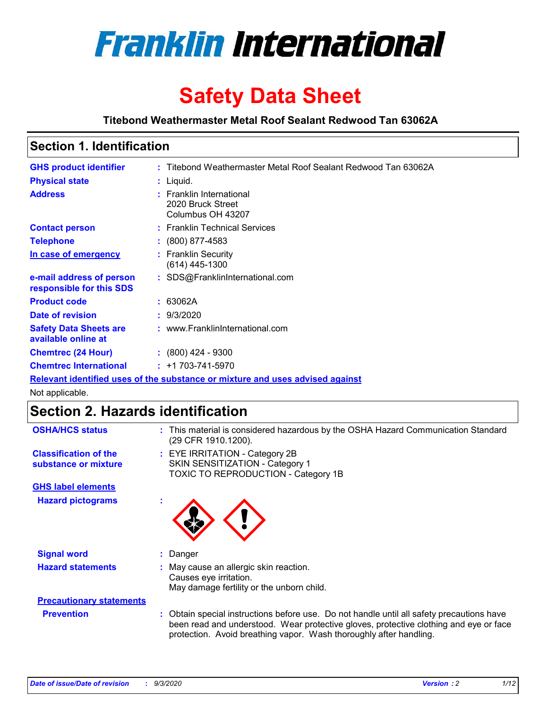

# **Safety Data Sheet**

**Titebond Weathermaster Metal Roof Sealant Redwood Tan 63062A**

# **Section 1. Identification**

| <b>GHS product identifier</b>                        | : Titebond Weathermaster Metal Roof Sealant Redwood Tan 63062A                |
|------------------------------------------------------|-------------------------------------------------------------------------------|
| <b>Physical state</b>                                | : Liquid.                                                                     |
| <b>Address</b>                                       | : Franklin International<br>2020 Bruck Street<br>Columbus OH 43207            |
| <b>Contact person</b>                                | : Franklin Technical Services                                                 |
| <b>Telephone</b>                                     | $\colon$ (800) 877-4583                                                       |
| In case of emergency                                 | : Franklin Security<br>$(614)$ 445-1300                                       |
| e-mail address of person<br>responsible for this SDS | : SDS@FranklinInternational.com                                               |
| <b>Product code</b>                                  | : 63062A                                                                      |
| Date of revision                                     | : 9/3/2020                                                                    |
| <b>Safety Data Sheets are</b><br>available online at | : www.FranklinInternational.com                                               |
| <b>Chemtrec (24 Hour)</b>                            | $\div$ (800) 424 - 9300                                                       |
| <b>Chemtrec International</b>                        | $: +1703 - 741 - 5970$                                                        |
|                                                      | Relevant identified uses of the substance or mixture and uses advised against |

Not applicable.

# **Section 2. Hazards identification**

| <b>OSHA/HCS status</b>                               |    | : This material is considered hazardous by the OSHA Hazard Communication Standard<br>(29 CFR 1910.1200).                                                                                                                                                 |
|------------------------------------------------------|----|----------------------------------------------------------------------------------------------------------------------------------------------------------------------------------------------------------------------------------------------------------|
| <b>Classification of the</b><br>substance or mixture |    | : EYE IRRITATION - Category 2B<br>SKIN SENSITIZATION - Category 1<br>TOXIC TO REPRODUCTION - Category 1B                                                                                                                                                 |
| <b>GHS label elements</b>                            |    |                                                                                                                                                                                                                                                          |
| <b>Hazard pictograms</b>                             | ×. |                                                                                                                                                                                                                                                          |
| <b>Signal word</b>                                   | ÷. | Danger                                                                                                                                                                                                                                                   |
| <b>Hazard statements</b>                             |    | May cause an allergic skin reaction.<br>Causes eye irritation.<br>May damage fertility or the unborn child.                                                                                                                                              |
| <b>Precautionary statements</b>                      |    |                                                                                                                                                                                                                                                          |
| <b>Prevention</b>                                    |    | : Obtain special instructions before use. Do not handle until all safety precautions have<br>been read and understood. Wear protective gloves, protective clothing and eye or face<br>protection. Avoid breathing vapor. Wash thoroughly after handling. |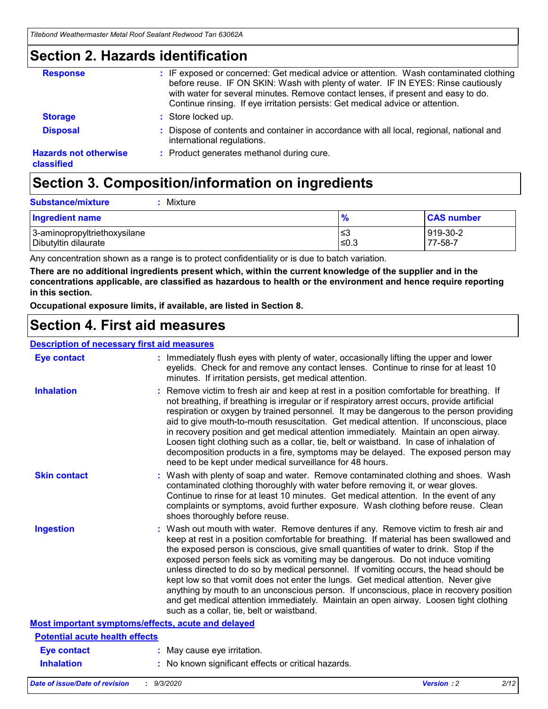### **Section 2. Hazards identification**

| <b>Response</b>                            | : IF exposed or concerned: Get medical advice or attention. Wash contaminated clothing<br>before reuse. IF ON SKIN: Wash with plenty of water. IF IN EYES: Rinse cautiously<br>with water for several minutes. Remove contact lenses, if present and easy to do.<br>Continue rinsing. If eye irritation persists: Get medical advice or attention. |
|--------------------------------------------|----------------------------------------------------------------------------------------------------------------------------------------------------------------------------------------------------------------------------------------------------------------------------------------------------------------------------------------------------|
| <b>Storage</b>                             | : Store locked up.                                                                                                                                                                                                                                                                                                                                 |
| <b>Disposal</b>                            | : Dispose of contents and container in accordance with all local, regional, national and<br>international regulations.                                                                                                                                                                                                                             |
| <b>Hazards not otherwise</b><br>classified | : Product generates methanol during cure.                                                                                                                                                                                                                                                                                                          |

# **Section 3. Composition/information on ingredients**

| <b>Substance/mixture</b> |  | $:$ Mixture |
|--------------------------|--|-------------|
|--------------------------|--|-------------|

| <b>Ingredient name</b>       | $\mathbf{0}$<br>70 | <b>CAS number</b> |
|------------------------------|--------------------|-------------------|
| 3-aminopropyltriethoxysilane | צ≥                 | 919-30-2          |
| Dibutyltin dilaurate         | ∣≤0.3              | 77-58-7           |

Any concentration shown as a range is to protect confidentiality or is due to batch variation.

**There are no additional ingredients present which, within the current knowledge of the supplier and in the concentrations applicable, are classified as hazardous to health or the environment and hence require reporting in this section.**

**Occupational exposure limits, if available, are listed in Section 8.**

### **Section 4. First aid measures**

| <b>Description of necessary first aid measures</b> |                                                                                                                                                                                                                                                                                                                                                                                                                                                                                                                                                                                                                                                                                                                                                                           |
|----------------------------------------------------|---------------------------------------------------------------------------------------------------------------------------------------------------------------------------------------------------------------------------------------------------------------------------------------------------------------------------------------------------------------------------------------------------------------------------------------------------------------------------------------------------------------------------------------------------------------------------------------------------------------------------------------------------------------------------------------------------------------------------------------------------------------------------|
| <b>Eye contact</b>                                 | : Immediately flush eyes with plenty of water, occasionally lifting the upper and lower<br>eyelids. Check for and remove any contact lenses. Continue to rinse for at least 10<br>minutes. If irritation persists, get medical attention.                                                                                                                                                                                                                                                                                                                                                                                                                                                                                                                                 |
| <b>Inhalation</b>                                  | : Remove victim to fresh air and keep at rest in a position comfortable for breathing. If<br>not breathing, if breathing is irregular or if respiratory arrest occurs, provide artificial<br>respiration or oxygen by trained personnel. It may be dangerous to the person providing<br>aid to give mouth-to-mouth resuscitation. Get medical attention. If unconscious, place<br>in recovery position and get medical attention immediately. Maintain an open airway.<br>Loosen tight clothing such as a collar, tie, belt or waistband. In case of inhalation of<br>decomposition products in a fire, symptoms may be delayed. The exposed person may<br>need to be kept under medical surveillance for 48 hours.                                                       |
| <b>Skin contact</b>                                | : Wash with plenty of soap and water. Remove contaminated clothing and shoes. Wash<br>contaminated clothing thoroughly with water before removing it, or wear gloves.<br>Continue to rinse for at least 10 minutes. Get medical attention. In the event of any<br>complaints or symptoms, avoid further exposure. Wash clothing before reuse. Clean<br>shoes thoroughly before reuse.                                                                                                                                                                                                                                                                                                                                                                                     |
| <b>Ingestion</b>                                   | : Wash out mouth with water. Remove dentures if any. Remove victim to fresh air and<br>keep at rest in a position comfortable for breathing. If material has been swallowed and<br>the exposed person is conscious, give small quantities of water to drink. Stop if the<br>exposed person feels sick as vomiting may be dangerous. Do not induce vomiting<br>unless directed to do so by medical personnel. If vomiting occurs, the head should be<br>kept low so that vomit does not enter the lungs. Get medical attention. Never give<br>anything by mouth to an unconscious person. If unconscious, place in recovery position<br>and get medical attention immediately. Maintain an open airway. Loosen tight clothing<br>such as a collar, tie, belt or waistband. |
| Most important symptoms/effects, acute and delayed |                                                                                                                                                                                                                                                                                                                                                                                                                                                                                                                                                                                                                                                                                                                                                                           |
| <b>Potential acute health effects</b>              |                                                                                                                                                                                                                                                                                                                                                                                                                                                                                                                                                                                                                                                                                                                                                                           |
| <b>Eye contact</b>                                 | : May cause eye irritation.                                                                                                                                                                                                                                                                                                                                                                                                                                                                                                                                                                                                                                                                                                                                               |
| <b>Inhalation</b>                                  | : No known significant effects or critical hazards.                                                                                                                                                                                                                                                                                                                                                                                                                                                                                                                                                                                                                                                                                                                       |
|                                                    |                                                                                                                                                                                                                                                                                                                                                                                                                                                                                                                                                                                                                                                                                                                                                                           |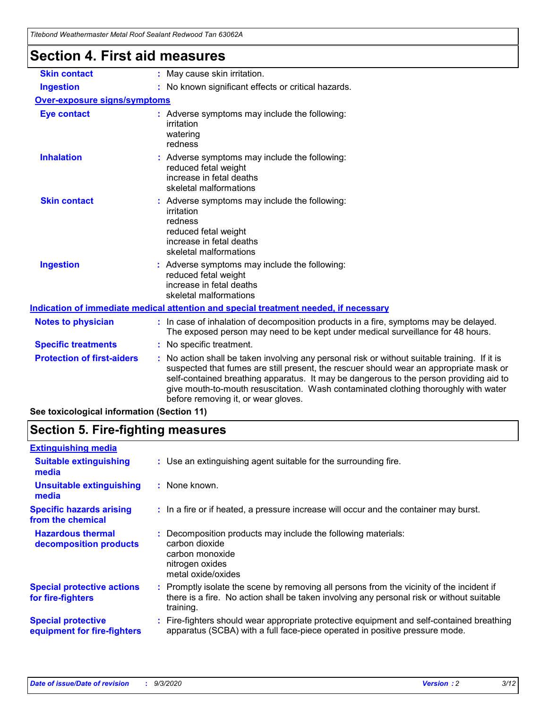| Section 4. First aid measures       |                                                                                                                                                                                                                                                                                                                                                                                                                 |  |  |
|-------------------------------------|-----------------------------------------------------------------------------------------------------------------------------------------------------------------------------------------------------------------------------------------------------------------------------------------------------------------------------------------------------------------------------------------------------------------|--|--|
| <b>Skin contact</b>                 | : May cause skin irritation.                                                                                                                                                                                                                                                                                                                                                                                    |  |  |
| <b>Ingestion</b>                    | : No known significant effects or critical hazards.                                                                                                                                                                                                                                                                                                                                                             |  |  |
| <b>Over-exposure signs/symptoms</b> |                                                                                                                                                                                                                                                                                                                                                                                                                 |  |  |
| <b>Eye contact</b>                  | : Adverse symptoms may include the following:<br>irritation<br>watering<br>redness                                                                                                                                                                                                                                                                                                                              |  |  |
| <b>Inhalation</b>                   | : Adverse symptoms may include the following:<br>reduced fetal weight<br>increase in fetal deaths<br>skeletal malformations                                                                                                                                                                                                                                                                                     |  |  |
| <b>Skin contact</b>                 | Adverse symptoms may include the following:<br>irritation<br>redness<br>reduced fetal weight<br>increase in fetal deaths<br>skeletal malformations                                                                                                                                                                                                                                                              |  |  |
| <b>Ingestion</b>                    | Adverse symptoms may include the following:<br>reduced fetal weight<br>increase in fetal deaths<br>skeletal malformations                                                                                                                                                                                                                                                                                       |  |  |
|                                     | Indication of immediate medical attention and special treatment needed, if necessary                                                                                                                                                                                                                                                                                                                            |  |  |
| <b>Notes to physician</b>           | : In case of inhalation of decomposition products in a fire, symptoms may be delayed.<br>The exposed person may need to be kept under medical surveillance for 48 hours.                                                                                                                                                                                                                                        |  |  |
| <b>Specific treatments</b>          | : No specific treatment.                                                                                                                                                                                                                                                                                                                                                                                        |  |  |
| <b>Protection of first-aiders</b>   | : No action shall be taken involving any personal risk or without suitable training. If it is<br>suspected that fumes are still present, the rescuer should wear an appropriate mask or<br>self-contained breathing apparatus. It may be dangerous to the person providing aid to<br>give mouth-to-mouth resuscitation. Wash contaminated clothing thoroughly with water<br>before removing it, or wear gloves. |  |  |

**See toxicological information (Section 11)**

### **Section 5. Fire-fighting measures**

| <b>Extinguishing media</b>                               |                                                                                                                                                                                                     |
|----------------------------------------------------------|-----------------------------------------------------------------------------------------------------------------------------------------------------------------------------------------------------|
| <b>Suitable extinguishing</b><br>media                   | : Use an extinguishing agent suitable for the surrounding fire.                                                                                                                                     |
| <b>Unsuitable extinguishing</b><br>media                 | : None known.                                                                                                                                                                                       |
| <b>Specific hazards arising</b><br>from the chemical     | : In a fire or if heated, a pressure increase will occur and the container may burst.                                                                                                               |
| <b>Hazardous thermal</b><br>decomposition products       | : Decomposition products may include the following materials:<br>carbon dioxide<br>carbon monoxide<br>nitrogen oxides<br>metal oxide/oxides                                                         |
| <b>Special protective actions</b><br>for fire-fighters   | : Promptly isolate the scene by removing all persons from the vicinity of the incident if<br>there is a fire. No action shall be taken involving any personal risk or without suitable<br>training. |
| <b>Special protective</b><br>equipment for fire-fighters | Fire-fighters should wear appropriate protective equipment and self-contained breathing<br>apparatus (SCBA) with a full face-piece operated in positive pressure mode.                              |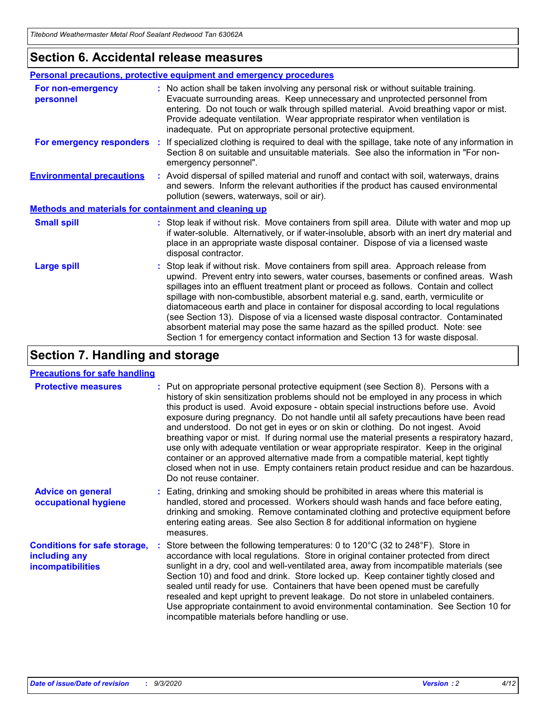### **Section 6. Accidental release measures**

|                                                              | Personal precautions, protective equipment and emergency procedures                                                                                                                                                                                                                                                                                                                                                                                                                                                                                                                                                                                                                                          |  |  |  |
|--------------------------------------------------------------|--------------------------------------------------------------------------------------------------------------------------------------------------------------------------------------------------------------------------------------------------------------------------------------------------------------------------------------------------------------------------------------------------------------------------------------------------------------------------------------------------------------------------------------------------------------------------------------------------------------------------------------------------------------------------------------------------------------|--|--|--|
| For non-emergency<br>personnel                               | : No action shall be taken involving any personal risk or without suitable training.<br>Evacuate surrounding areas. Keep unnecessary and unprotected personnel from<br>entering. Do not touch or walk through spilled material. Avoid breathing vapor or mist.<br>Provide adequate ventilation. Wear appropriate respirator when ventilation is<br>inadequate. Put on appropriate personal protective equipment.                                                                                                                                                                                                                                                                                             |  |  |  |
| For emergency responders                                     | : If specialized clothing is required to deal with the spillage, take note of any information in<br>Section 8 on suitable and unsuitable materials. See also the information in "For non-<br>emergency personnel".                                                                                                                                                                                                                                                                                                                                                                                                                                                                                           |  |  |  |
| <b>Environmental precautions</b>                             | : Avoid dispersal of spilled material and runoff and contact with soil, waterways, drains<br>and sewers. Inform the relevant authorities if the product has caused environmental<br>pollution (sewers, waterways, soil or air).                                                                                                                                                                                                                                                                                                                                                                                                                                                                              |  |  |  |
| <b>Methods and materials for containment and cleaning up</b> |                                                                                                                                                                                                                                                                                                                                                                                                                                                                                                                                                                                                                                                                                                              |  |  |  |
| <b>Small spill</b>                                           | : Stop leak if without risk. Move containers from spill area. Dilute with water and mop up<br>if water-soluble. Alternatively, or if water-insoluble, absorb with an inert dry material and<br>place in an appropriate waste disposal container. Dispose of via a licensed waste<br>disposal contractor.                                                                                                                                                                                                                                                                                                                                                                                                     |  |  |  |
| <b>Large spill</b>                                           | : Stop leak if without risk. Move containers from spill area. Approach release from<br>upwind. Prevent entry into sewers, water courses, basements or confined areas. Wash<br>spillages into an effluent treatment plant or proceed as follows. Contain and collect<br>spillage with non-combustible, absorbent material e.g. sand, earth, vermiculite or<br>diatomaceous earth and place in container for disposal according to local regulations<br>(see Section 13). Dispose of via a licensed waste disposal contractor. Contaminated<br>absorbent material may pose the same hazard as the spilled product. Note: see<br>Section 1 for emergency contact information and Section 13 for waste disposal. |  |  |  |

### **Section 7. Handling and storage**

#### **Precautions for safe handling**

| <b>Protective measures</b>                                                       | : Put on appropriate personal protective equipment (see Section 8). Persons with a<br>history of skin sensitization problems should not be employed in any process in which<br>this product is used. Avoid exposure - obtain special instructions before use. Avoid<br>exposure during pregnancy. Do not handle until all safety precautions have been read<br>and understood. Do not get in eyes or on skin or clothing. Do not ingest. Avoid<br>breathing vapor or mist. If during normal use the material presents a respiratory hazard,<br>use only with adequate ventilation or wear appropriate respirator. Keep in the original<br>container or an approved alternative made from a compatible material, kept tightly<br>closed when not in use. Empty containers retain product residue and can be hazardous.<br>Do not reuse container. |
|----------------------------------------------------------------------------------|--------------------------------------------------------------------------------------------------------------------------------------------------------------------------------------------------------------------------------------------------------------------------------------------------------------------------------------------------------------------------------------------------------------------------------------------------------------------------------------------------------------------------------------------------------------------------------------------------------------------------------------------------------------------------------------------------------------------------------------------------------------------------------------------------------------------------------------------------|
| <b>Advice on general</b><br>occupational hygiene                                 | : Eating, drinking and smoking should be prohibited in areas where this material is<br>handled, stored and processed. Workers should wash hands and face before eating,<br>drinking and smoking. Remove contaminated clothing and protective equipment before<br>entering eating areas. See also Section 8 for additional information on hygiene<br>measures.                                                                                                                                                                                                                                                                                                                                                                                                                                                                                    |
| <b>Conditions for safe storage,</b><br>including any<br><i>incompatibilities</i> | Store between the following temperatures: 0 to 120°C (32 to 248°F). Store in<br>accordance with local regulations. Store in original container protected from direct<br>sunlight in a dry, cool and well-ventilated area, away from incompatible materials (see<br>Section 10) and food and drink. Store locked up. Keep container tightly closed and<br>sealed until ready for use. Containers that have been opened must be carefully<br>resealed and kept upright to prevent leakage. Do not store in unlabeled containers.<br>Use appropriate containment to avoid environmental contamination. See Section 10 for<br>incompatible materials before handling or use.                                                                                                                                                                         |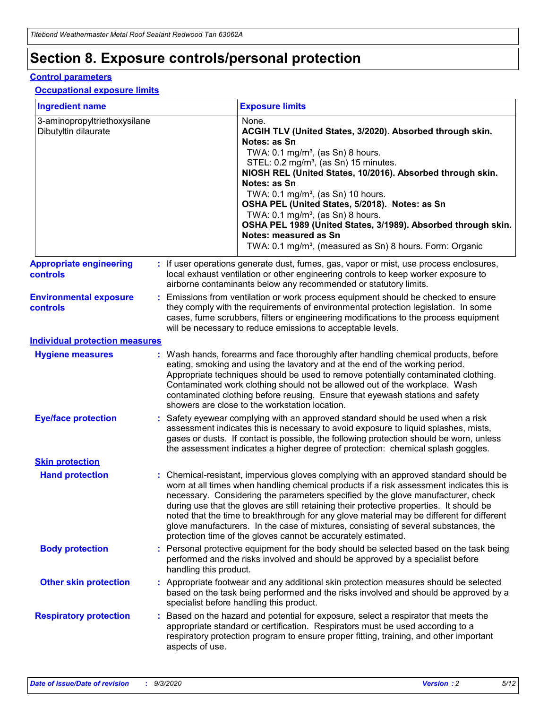# **Section 8. Exposure controls/personal protection**

#### **Control parameters**

#### **Occupational exposure limits**

| <b>Ingredient name</b>                               |    |                        | <b>Exposure limits</b>                                                                                                                                                                                                                                                                                                                                                                                                                                                                                                                                                                                                 |
|------------------------------------------------------|----|------------------------|------------------------------------------------------------------------------------------------------------------------------------------------------------------------------------------------------------------------------------------------------------------------------------------------------------------------------------------------------------------------------------------------------------------------------------------------------------------------------------------------------------------------------------------------------------------------------------------------------------------------|
| 3-aminopropyltriethoxysilane<br>Dibutyltin dilaurate |    |                        | None.<br>ACGIH TLV (United States, 3/2020). Absorbed through skin.<br>Notes: as Sn<br>TWA: $0.1 \text{ mg/m}^3$ , (as Sn) 8 hours.<br>STEL: 0.2 mg/m <sup>3</sup> , (as Sn) 15 minutes.<br>NIOSH REL (United States, 10/2016). Absorbed through skin.<br>Notes: as Sn<br>TWA: 0.1 mg/m <sup>3</sup> , (as Sn) 10 hours.<br>OSHA PEL (United States, 5/2018). Notes: as Sn<br>TWA: $0.1 \text{ mg/m}^3$ , (as Sn) 8 hours.<br>OSHA PEL 1989 (United States, 3/1989). Absorbed through skin.<br>Notes: measured as Sn<br>TWA: 0.1 mg/m <sup>3</sup> , (measured as Sn) 8 hours. Form: Organic                            |
| <b>Appropriate engineering</b><br>controls           |    |                        | : If user operations generate dust, fumes, gas, vapor or mist, use process enclosures,<br>local exhaust ventilation or other engineering controls to keep worker exposure to<br>airborne contaminants below any recommended or statutory limits.                                                                                                                                                                                                                                                                                                                                                                       |
| <b>Environmental exposure</b><br>controls            |    |                        | Emissions from ventilation or work process equipment should be checked to ensure<br>they comply with the requirements of environmental protection legislation. In some<br>cases, fume scrubbers, filters or engineering modifications to the process equipment<br>will be necessary to reduce emissions to acceptable levels.                                                                                                                                                                                                                                                                                          |
| <b>Individual protection measures</b>                |    |                        |                                                                                                                                                                                                                                                                                                                                                                                                                                                                                                                                                                                                                        |
| <b>Hygiene measures</b>                              |    |                        | : Wash hands, forearms and face thoroughly after handling chemical products, before<br>eating, smoking and using the lavatory and at the end of the working period.<br>Appropriate techniques should be used to remove potentially contaminated clothing.<br>Contaminated work clothing should not be allowed out of the workplace. Wash<br>contaminated clothing before reusing. Ensure that eyewash stations and safety<br>showers are close to the workstation location.                                                                                                                                            |
| <b>Eye/face protection</b>                           |    |                        | : Safety eyewear complying with an approved standard should be used when a risk<br>assessment indicates this is necessary to avoid exposure to liquid splashes, mists,<br>gases or dusts. If contact is possible, the following protection should be worn, unless<br>the assessment indicates a higher degree of protection: chemical splash goggles.                                                                                                                                                                                                                                                                  |
| <b>Skin protection</b>                               |    |                        |                                                                                                                                                                                                                                                                                                                                                                                                                                                                                                                                                                                                                        |
| <b>Hand protection</b>                               |    |                        | : Chemical-resistant, impervious gloves complying with an approved standard should be<br>worn at all times when handling chemical products if a risk assessment indicates this is<br>necessary. Considering the parameters specified by the glove manufacturer, check<br>during use that the gloves are still retaining their protective properties. It should be<br>noted that the time to breakthrough for any glove material may be different for different<br>glove manufacturers. In the case of mixtures, consisting of several substances, the<br>protection time of the gloves cannot be accurately estimated. |
| <b>Body protection</b>                               |    | handling this product. | Personal protective equipment for the body should be selected based on the task being<br>performed and the risks involved and should be approved by a specialist before                                                                                                                                                                                                                                                                                                                                                                                                                                                |
| <b>Other skin protection</b>                         |    |                        | : Appropriate footwear and any additional skin protection measures should be selected<br>based on the task being performed and the risks involved and should be approved by a<br>specialist before handling this product.                                                                                                                                                                                                                                                                                                                                                                                              |
| <b>Respiratory protection</b>                        | ÷. | aspects of use.        | Based on the hazard and potential for exposure, select a respirator that meets the<br>appropriate standard or certification. Respirators must be used according to a<br>respiratory protection program to ensure proper fitting, training, and other important                                                                                                                                                                                                                                                                                                                                                         |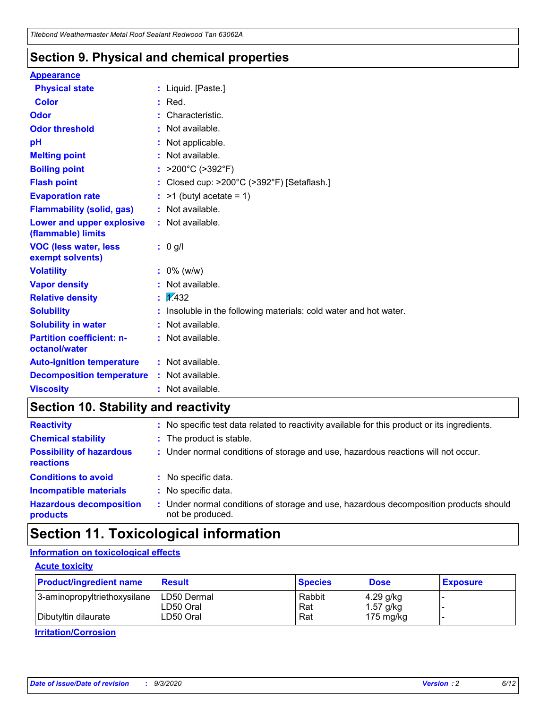### **Section 9. Physical and chemical properties**

#### **Appearance**

| <b>Physical state</b>                                  | : Liquid. [Paste.]                                              |
|--------------------------------------------------------|-----------------------------------------------------------------|
| Color                                                  | Red.                                                            |
| Odor                                                   | Characteristic.                                                 |
| <b>Odor threshold</b>                                  | Not available.                                                  |
| pH                                                     | Not applicable.                                                 |
| <b>Melting point</b>                                   | Not available.                                                  |
| <b>Boiling point</b>                                   | : $>200^{\circ}$ C ( $>392^{\circ}$ F)                          |
| <b>Flash point</b>                                     | Closed cup: >200°C (>392°F) [Setaflash.]                        |
| <b>Evaporation rate</b>                                | $:$ >1 (butyl acetate = 1)                                      |
| <b>Flammability (solid, gas)</b>                       | : Not available.                                                |
| <b>Lower and upper explosive</b><br>(flammable) limits | : Not available.                                                |
| <b>VOC (less water, less)</b><br>exempt solvents)      | $: 0$ g/l                                                       |
| <b>Volatility</b>                                      | $: 0\%$ (w/w)                                                   |
| <b>Vapor density</b>                                   | Not available.                                                  |
| <b>Relative density</b>                                | $\frac{1}{2}$ 2.432                                             |
| <b>Solubility</b>                                      | Insoluble in the following materials: cold water and hot water. |
| <b>Solubility in water</b>                             | Not available.                                                  |
| <b>Partition coefficient: n-</b><br>octanol/water      | : Not available.                                                |
| <b>Auto-ignition temperature</b>                       | : Not available.                                                |
| <b>Decomposition temperature</b>                       | : Not available.                                                |
| <b>Viscosity</b>                                       | : Not available.                                                |

### **Section 10. Stability and reactivity**

| <b>Reactivity</b>                            |    | : No specific test data related to reactivity available for this product or its ingredients.            |
|----------------------------------------------|----|---------------------------------------------------------------------------------------------------------|
| <b>Chemical stability</b>                    |    | : The product is stable.                                                                                |
| <b>Possibility of hazardous</b><br>reactions |    | : Under normal conditions of storage and use, hazardous reactions will not occur.                       |
| <b>Conditions to avoid</b>                   |    | : No specific data.                                                                                     |
| <b>Incompatible materials</b>                | ٠. | No specific data.                                                                                       |
| <b>Hazardous decomposition</b><br>products   | ÷. | Under normal conditions of storage and use, hazardous decomposition products should<br>not be produced. |

# **Section 11. Toxicological information**

#### **Information on toxicological effects**

#### **Acute toxicity**

| <b>Product/ingredient name</b> | <b>Result</b>           | <b>Species</b> | <b>Dose</b>                | <b>Exposure</b> |
|--------------------------------|-------------------------|----------------|----------------------------|-----------------|
| 3-aminopropyltriethoxysilane   | <b>ILD50 Dermal</b>     | Rabbit         | 4.29 g/kg                  |                 |
| Dibutyltin dilaurate           | ILD50 Oral<br>LD50 Oral | Rat<br>Rat     | $1.57$ g/kg<br>175 $mg/kg$ |                 |
|                                |                         |                |                            |                 |

**Irritation/Corrosion**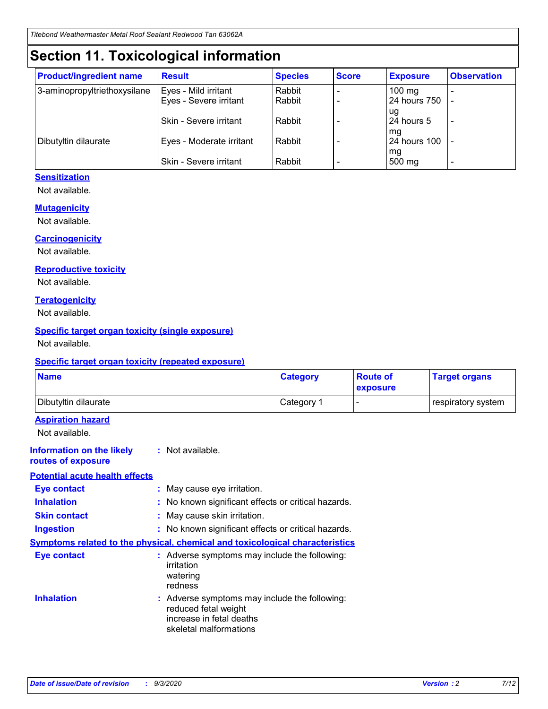# **Section 11. Toxicological information**

| <b>Product/ingredient name</b> | <b>Result</b>            | <b>Species</b> | <b>Score</b> | <b>Exposure</b>    | <b>Observation</b> |
|--------------------------------|--------------------------|----------------|--------------|--------------------|--------------------|
| 3-aminopropyltriethoxysilane   | Eyes - Mild irritant     | Rabbit         |              | $100$ mg           |                    |
|                                | Eyes - Severe irritant   | Rabbit         |              | 24 hours 750       |                    |
|                                |                          |                |              | ug                 |                    |
|                                | Skin - Severe irritant   | Rabbit         |              | 24 hours 5         | -                  |
| Dibutyltin dilaurate           | Eyes - Moderate irritant | Rabbit         |              | mg<br>24 hours 100 |                    |
|                                |                          |                |              | mg                 |                    |
|                                | Skin - Severe irritant   | Rabbit         |              | 500 mg             | -                  |

#### **Sensitization**

Not available.

#### **Mutagenicity**

Not available.

#### **Carcinogenicity**

Not available.

#### **Reproductive toxicity**

Not available.

#### **Teratogenicity**

Not available.

#### **Specific target organ toxicity (single exposure)**

Not available.

#### **Specific target organ toxicity (repeated exposure)**

| <b>Name</b>                                                                         |                                                                            | <b>Category</b>                                     | <b>Route of</b><br>exposure | <b>Target organs</b> |  |
|-------------------------------------------------------------------------------------|----------------------------------------------------------------------------|-----------------------------------------------------|-----------------------------|----------------------|--|
| Dibutyltin dilaurate                                                                |                                                                            | Category 1                                          |                             | respiratory system   |  |
| <b>Aspiration hazard</b><br>Not available.                                          |                                                                            |                                                     |                             |                      |  |
| <b>Information on the likely</b><br>routes of exposure                              | : Not available.                                                           |                                                     |                             |                      |  |
| <b>Potential acute health effects</b>                                               |                                                                            |                                                     |                             |                      |  |
| <b>Eye contact</b>                                                                  | : May cause eye irritation.                                                |                                                     |                             |                      |  |
| <b>Inhalation</b>                                                                   |                                                                            | : No known significant effects or critical hazards. |                             |                      |  |
| <b>Skin contact</b>                                                                 |                                                                            | : May cause skin irritation.                        |                             |                      |  |
| <b>Ingestion</b>                                                                    |                                                                            | : No known significant effects or critical hazards. |                             |                      |  |
| <b>Symptoms related to the physical, chemical and toxicological characteristics</b> |                                                                            |                                                     |                             |                      |  |
| <b>Eye contact</b>                                                                  | irritation<br>watering<br>redness                                          | : Adverse symptoms may include the following:       |                             |                      |  |
| <b>Inhalation</b>                                                                   | reduced fetal weight<br>increase in fetal deaths<br>skeletal malformations | : Adverse symptoms may include the following:       |                             |                      |  |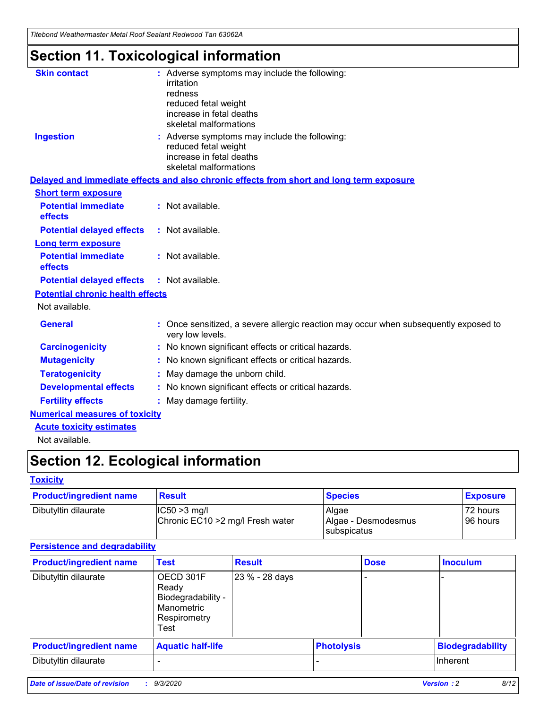*Titebond Weathermaster Metal Roof Sealant Redwood Tan 63062A*

# **Section 11. Toxicological information**

| <b>Skin contact</b>                     | : Adverse symptoms may include the following:<br>irritation                                                                 |  |
|-----------------------------------------|-----------------------------------------------------------------------------------------------------------------------------|--|
|                                         | redness                                                                                                                     |  |
|                                         | reduced fetal weight<br>increase in fetal deaths                                                                            |  |
|                                         | skeletal malformations                                                                                                      |  |
| <b>Ingestion</b>                        | : Adverse symptoms may include the following:<br>reduced fetal weight<br>increase in fetal deaths<br>skeletal malformations |  |
|                                         | Delayed and immediate effects and also chronic effects from short and long term exposure                                    |  |
| <b>Short term exposure</b>              |                                                                                                                             |  |
| <b>Potential immediate</b><br>effects   | : Not available.                                                                                                            |  |
| <b>Potential delayed effects</b>        | : Not available.                                                                                                            |  |
| <b>Long term exposure</b>               |                                                                                                                             |  |
| <b>Potential immediate</b><br>effects   | : Not available.                                                                                                            |  |
| <b>Potential delayed effects</b>        | : Not available.                                                                                                            |  |
| <b>Potential chronic health effects</b> |                                                                                                                             |  |
| Not available.                          |                                                                                                                             |  |
| <b>General</b>                          | : Once sensitized, a severe allergic reaction may occur when subsequently exposed to<br>very low levels.                    |  |
| <b>Carcinogenicity</b>                  | : No known significant effects or critical hazards.                                                                         |  |
| <b>Mutagenicity</b>                     | : No known significant effects or critical hazards.                                                                         |  |
| <b>Teratogenicity</b>                   | May damage the unborn child.                                                                                                |  |
| <b>Developmental effects</b>            | : No known significant effects or critical hazards.                                                                         |  |
| <b>Fertility effects</b>                | : May damage fertility.                                                                                                     |  |
| <b>Numerical measures of toxicity</b>   |                                                                                                                             |  |
| <b>Acute toxicity estimates</b>         |                                                                                                                             |  |
| والمادانون والملا                       |                                                                                                                             |  |

Not available.

# **Section 12. Ecological information**

#### **Toxicity**

| <b>Product/ingredient name</b> | <b>Result</b>                                       | <b>Species</b>               | <b>Exposure</b>       |
|--------------------------------|-----------------------------------------------------|------------------------------|-----------------------|
| Dibutyltin dilaurate           | $ CC50>3$ mg/l<br>Chronic EC10 > 2 mg/l Fresh water | Algae<br>Algae - Desmodesmus | 72 hours<br>196 hours |
|                                |                                                     | <b>I</b> subspicatus         |                       |

#### **Persistence and degradability**

| <b>Product/ingredient name</b> | <b>Test</b>                                                                    | <b>Result</b>  |                   | <b>Dose</b> | <b>Inoculum</b>         |
|--------------------------------|--------------------------------------------------------------------------------|----------------|-------------------|-------------|-------------------------|
| Dibutyltin dilaurate           | OECD 301F<br>Ready<br>Biodegradability -<br>Manometric<br>Respirometry<br>Test | 23 % - 28 days |                   |             |                         |
| <b>Product/ingredient name</b> | <b>Aquatic half-life</b>                                                       |                | <b>Photolysis</b> |             | <b>Biodegradability</b> |
| Dibutyltin dilaurate           |                                                                                |                |                   |             | <b>Inherent</b>         |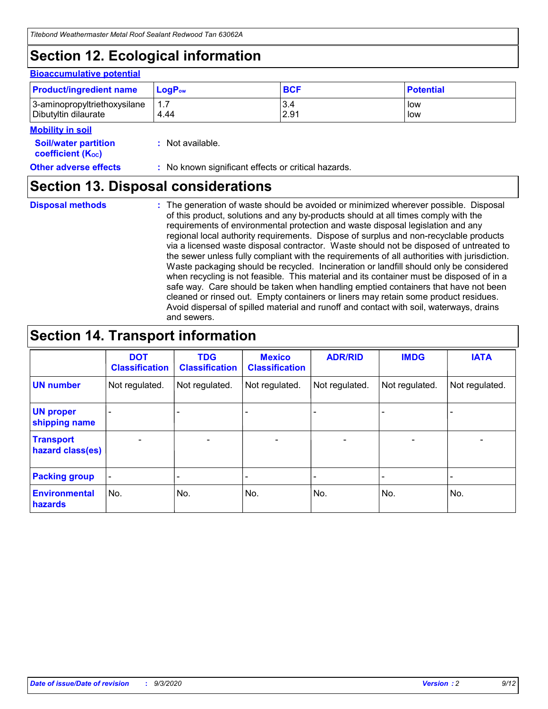# **Section 12. Ecological information**

#### **Bioaccumulative potential**

| <b>Product/ingredient name</b> | $LoaPow$ | <b>BCF</b> | <b>Potential</b> |
|--------------------------------|----------|------------|------------------|
| 3-aminopropyltriethoxysilane   | 1.7      | 3.4        | low              |
| Dibutyltin dilaurate           | 4.44     | 2.91       | low              |

#### **Mobility in soil**

| <b>Soil/water partition</b> |  | : Not available. |
|-----------------------------|--|------------------|
|-----------------------------|--|------------------|

**Other adverse effects** : No known significant effects or critical hazards.

### **Section 13. Disposal considerations**

**Disposal methods :**

**coefficient (KOC)**

The generation of waste should be avoided or minimized wherever possible. Disposal of this product, solutions and any by-products should at all times comply with the requirements of environmental protection and waste disposal legislation and any regional local authority requirements. Dispose of surplus and non-recyclable products via a licensed waste disposal contractor. Waste should not be disposed of untreated to the sewer unless fully compliant with the requirements of all authorities with jurisdiction. Waste packaging should be recycled. Incineration or landfill should only be considered when recycling is not feasible. This material and its container must be disposed of in a safe way. Care should be taken when handling emptied containers that have not been cleaned or rinsed out. Empty containers or liners may retain some product residues. Avoid dispersal of spilled material and runoff and contact with soil, waterways, drains and sewers.

### **Section 14. Transport information**

|                                      | <b>DOT</b><br><b>Classification</b> | <b>TDG</b><br><b>Classification</b> | <b>Mexico</b><br><b>Classification</b> | <b>ADR/RID</b>           | <b>IMDG</b>              | <b>IATA</b>    |
|--------------------------------------|-------------------------------------|-------------------------------------|----------------------------------------|--------------------------|--------------------------|----------------|
| <b>UN number</b>                     | Not regulated.                      | Not regulated.                      | Not regulated.                         | Not regulated.           | Not regulated.           | Not regulated. |
| <b>UN proper</b><br>shipping name    |                                     |                                     |                                        |                          |                          |                |
| <b>Transport</b><br>hazard class(es) |                                     | $\overline{\phantom{0}}$            | $\qquad \qquad \blacksquare$           | $\overline{\phantom{0}}$ | $\overline{\phantom{0}}$ |                |
| <b>Packing group</b>                 |                                     |                                     |                                        |                          |                          |                |
| <b>Environmental</b><br>hazards      | No.                                 | No.                                 | No.                                    | No.                      | No.                      | No.            |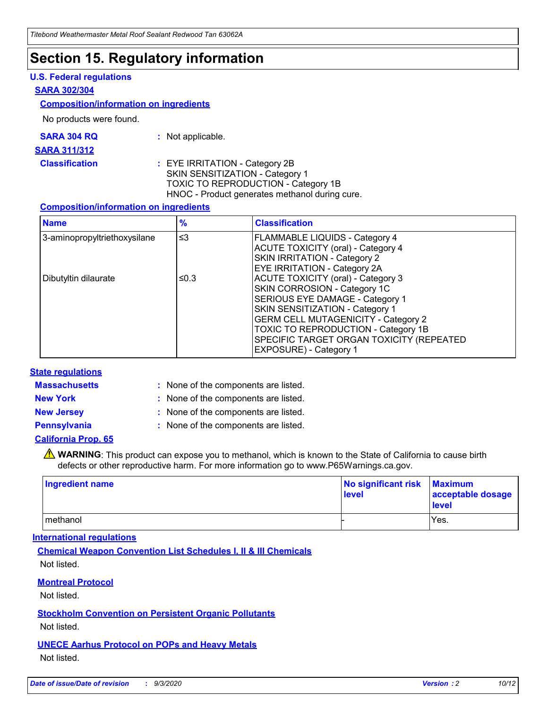### **Section 15. Regulatory information**

#### **U.S. Federal regulations**

#### **SARA 302/304**

#### **Composition/information on ingredients**

No products were found.

| SARA 304 RQ | Not applicable. |
|-------------|-----------------|
|             |                 |

#### **SARA 311/312**

#### **Classification :** EYE IRRITATION - Category 2B SKIN SENSITIZATION - Category 1 TOXIC TO REPRODUCTION - Category 1B HNOC - Product generates methanol during cure.

#### **Composition/information on ingredients**

| <b>Name</b>                  | $\frac{9}{6}$ | <b>Classification</b>                                                                                                                                                                                                                                                                                      |
|------------------------------|---------------|------------------------------------------------------------------------------------------------------------------------------------------------------------------------------------------------------------------------------------------------------------------------------------------------------------|
| 3-aminopropyltriethoxysilane | $\leq$ 3      | <b>FLAMMABLE LIQUIDS - Category 4</b><br><b>ACUTE TOXICITY (oral) - Category 4</b><br><b>SKIN IRRITATION - Category 2</b><br>EYE IRRITATION - Category 2A                                                                                                                                                  |
| Dibutyltin dilaurate         | ≤0.3          | <b>ACUTE TOXICITY (oral) - Category 3</b><br>SKIN CORROSION - Category 1C<br>SERIOUS EYE DAMAGE - Category 1<br>SKIN SENSITIZATION - Category 1<br><b>GERM CELL MUTAGENICITY - Category 2</b><br>TOXIC TO REPRODUCTION - Category 1B<br>SPECIFIC TARGET ORGAN TOXICITY (REPEATED<br>EXPOSURE) - Category 1 |

#### **State regulations**

**Massachusetts :**

: None of the components are listed.

**New York :** None of the components are listed. **New Jersey :** None of the components are listed.

**Pennsylvania :** None of the components are listed.

#### **California Prop. 65**

WARNING: This product can expose you to methanol, which is known to the State of California to cause birth defects or other reproductive harm. For more information go to www.P65Warnings.ca.gov.

| Ingredient name | No significant risk<br>level | <b>Maximum</b><br>acceptable dosage<br><b>level</b> |
|-----------------|------------------------------|-----------------------------------------------------|
| l methanol      |                              | Yes.                                                |

#### **International regulations**

**Chemical Weapon Convention List Schedules I, II & III Chemicals** Not listed.

#### **Montreal Protocol**

Not listed.

**Stockholm Convention on Persistent Organic Pollutants**

Not listed.

#### **UNECE Aarhus Protocol on POPs and Heavy Metals** Not listed.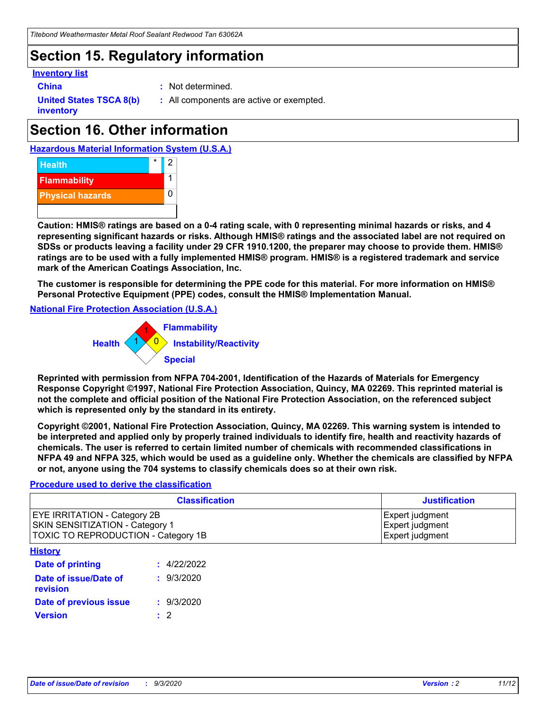### **Section 15. Regulatory information**

#### **Inventory list**

**China :** Not determined.

**United States TSCA 8(b) inventory**

**:** All components are active or exempted.

# **Section 16. Other information**

**Hazardous Material Information System (U.S.A.)**



**Caution: HMIS® ratings are based on a 0-4 rating scale, with 0 representing minimal hazards or risks, and 4 representing significant hazards or risks. Although HMIS® ratings and the associated label are not required on SDSs or products leaving a facility under 29 CFR 1910.1200, the preparer may choose to provide them. HMIS® ratings are to be used with a fully implemented HMIS® program. HMIS® is a registered trademark and service mark of the American Coatings Association, Inc.**

**The customer is responsible for determining the PPE code for this material. For more information on HMIS® Personal Protective Equipment (PPE) codes, consult the HMIS® Implementation Manual.**

**National Fire Protection Association (U.S.A.)**



**Reprinted with permission from NFPA 704-2001, Identification of the Hazards of Materials for Emergency Response Copyright ©1997, National Fire Protection Association, Quincy, MA 02269. This reprinted material is not the complete and official position of the National Fire Protection Association, on the referenced subject which is represented only by the standard in its entirety.**

**Copyright ©2001, National Fire Protection Association, Quincy, MA 02269. This warning system is intended to be interpreted and applied only by properly trained individuals to identify fire, health and reactivity hazards of chemicals. The user is referred to certain limited number of chemicals with recommended classifications in NFPA 49 and NFPA 325, which would be used as a guideline only. Whether the chemicals are classified by NFPA or not, anyone using the 704 systems to classify chemicals does so at their own risk.**

#### **Procedure used to derive the classification**

| <b>Classification</b>                                                                                         | <b>Justification</b>                                  |
|---------------------------------------------------------------------------------------------------------------|-------------------------------------------------------|
| <b>EYE IRRITATION - Category 2B</b><br>SKIN SENSITIZATION - Category 1<br>TOXIC TO REPRODUCTION - Category 1B | Expert judgment<br>Expert judgment<br>Expert judgment |
| <b>History</b>                                                                                                |                                                       |

| <b>Date of printing</b>           | : 4/22/2022 |
|-----------------------------------|-------------|
| Date of issue/Date of<br>revision | : 9/3/2020  |
| Date of previous issue            | : 9/3/2020  |
| <b>Version</b>                    | $\cdot$ 2   |
|                                   |             |